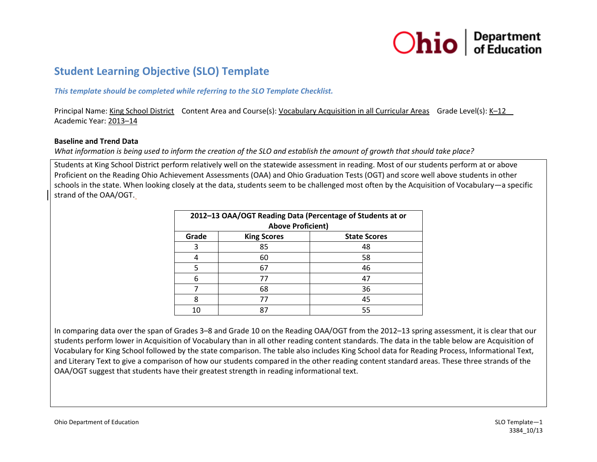

# **Student Learning Objective (SLO) Template**

*This template should be completed while referring to the SLO Template Checklist.* 

Principal Name: King School District Content Area and Course(s): Vocabulary Acquisition in all Curricular Areas Grade Level(s): K–12 Academic Year: 2013–14

#### **Baseline and Trend Data**

*What information is being used to inform the creation of the SLO and establish the amount of growth that should take place?* 

Students at King School District perform relatively well on the statewide assessment in reading. Most of our students perform at or above Proficient on the Reading Ohio Achievement Assessments (OAA) and Ohio Graduation Tests (OGT) and score well above students in other schools in the state. When looking closely at the data, students seem to be challenged most often by the Acquisition of Vocabulary—a specific strand of the OAA/OGT.

|       |                          | 2012-13 OAA/OGT Reading Data (Percentage of Students at or |
|-------|--------------------------|------------------------------------------------------------|
|       | <b>Above Proficient)</b> |                                                            |
| Grade | <b>King Scores</b>       | <b>State Scores</b>                                        |
| 3     | 85                       | 48                                                         |
| 4     | 60                       | 58                                                         |
| 5     | 67                       | 46                                                         |
| 6     | 77                       | 47                                                         |
|       | 68                       | 36                                                         |
| 8     | 77                       | 45                                                         |
| 10    |                          | 55                                                         |

In comparing data over the span of Grades 3–8 and Grade 10 on the Reading OAA/OGT from the 2012–13 spring assessment, it is clear that our students perform lower in Acquisition of Vocabulary than in all other reading content standards. The data in the table below are Acquisition of Vocabulary for King School followed by the state comparison. The table also includes King School data for Reading Process, Informational Text, and Literary Text to give a comparison of how our students compared in the other reading content standard areas. These three strands of the OAA/OGT suggest that students have their greatest strength in reading informational text.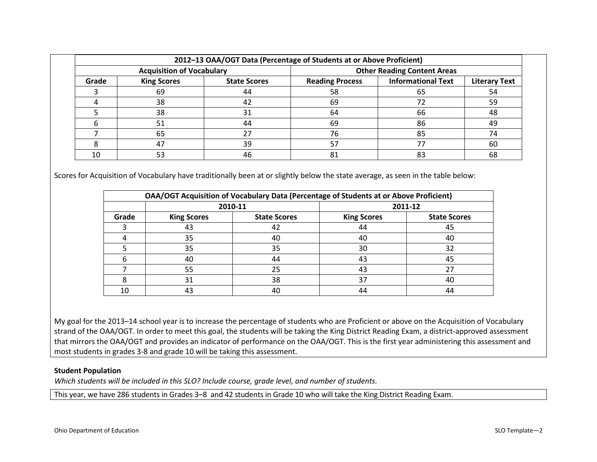|       |                                  |                     | 2012-13 OAA/OGT Data (Percentage of Students at or Above Proficient) |                                    |                      |
|-------|----------------------------------|---------------------|----------------------------------------------------------------------|------------------------------------|----------------------|
|       | <b>Acquisition of Vocabulary</b> |                     |                                                                      | <b>Other Reading Content Areas</b> |                      |
| Grade | <b>King Scores</b>               | <b>State Scores</b> | <b>Reading Process</b>                                               | <b>Informational Text</b>          | <b>Literary Text</b> |
|       | 69                               | 44                  | 58                                                                   | 65                                 | 54                   |
|       | 38                               | 42                  | 69                                                                   |                                    | 59                   |
|       | 38                               | 31                  | 64                                                                   | 66                                 | 48                   |
| 6     | 51                               | 44                  | 69                                                                   | 86                                 | 49                   |
|       | 65                               |                     | 76                                                                   | 85                                 | 74                   |
|       | 47                               | 39                  | 57                                                                   |                                    | 60                   |
| 10    |                                  | 46                  | 81                                                                   | 83                                 | 68                   |

Scores for Acquisition of Vocabulary have traditionally been at or slightly below the state average, as seen in the table below:

|       | <b>OAA/OGT Acquisition of Vocabulary Data (Percentage of Students at or Above Proficient)</b> |                     |                    |                     |
|-------|-----------------------------------------------------------------------------------------------|---------------------|--------------------|---------------------|
|       | 2010-11                                                                                       |                     |                    | 2011-12             |
| Grade | <b>King Scores</b>                                                                            | <b>State Scores</b> | <b>King Scores</b> | <b>State Scores</b> |
|       | 43                                                                                            | 42                  | 44                 | 45                  |
|       | 35                                                                                            | 40                  | 40                 | 40                  |
|       | 35                                                                                            | 35                  | 30                 | 32                  |
|       | 40                                                                                            | 44                  | 43                 | 45                  |
|       | 55                                                                                            | 25                  | 43                 | 27                  |
|       | 31                                                                                            | 38                  | 37                 | 40                  |
| 10    | 43                                                                                            | 40                  | 44                 | 44                  |

My goal for the 2013–14 school year is to increase the percentage of students who are Proficient or above on the Acquisition of Vocabulary strand of the OAA/OGT. In order to meet this goal, the students will be taking the King District Reading Exam, a district-approved assessment that mirrors the OAA/OGT and provides an indicator of performance on the OAA/OGT. This is the first year administering this assessment and most students in grades 3-8 and grade 10 will be taking this assessment.

## **Student Population**

*Which students will be included in this SLO? Include course, grade level, and number of students.*

This year, we have 286 students in Grades 3–8 and 42 students in Grade 10 who will take the King District Reading Exam.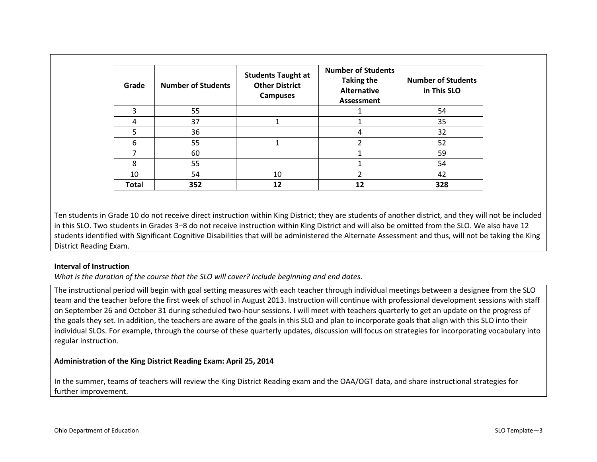| Grade        | <b>Number of Students</b> | <b>Students Taught at</b><br><b>Other District</b><br><b>Campuses</b> | <b>Number of Students</b><br><b>Taking the</b><br><b>Alternative</b><br>Assessment | <b>Number of Students</b><br>in This SLO |
|--------------|---------------------------|-----------------------------------------------------------------------|------------------------------------------------------------------------------------|------------------------------------------|
| 3            | 55                        |                                                                       |                                                                                    | 54                                       |
| 4            | 37                        |                                                                       |                                                                                    | 35                                       |
| 5            | 36                        |                                                                       | 4                                                                                  | 32                                       |
| 6            | 55                        |                                                                       | 2                                                                                  | 52                                       |
|              | 60                        |                                                                       |                                                                                    | 59                                       |
| 8            | 55                        |                                                                       |                                                                                    | 54                                       |
| 10           | 54                        | 10                                                                    | 2                                                                                  | 42                                       |
| <b>Total</b> | 352                       |                                                                       | 12                                                                                 | 328                                      |

Ten students in Grade 10 do not receive direct instruction within King District; they are students of another district, and they will not be included in this SLO. Two students in Grades 3–8 do not receive instruction within King District and will also be omitted from the SLO. We also have 12 students identified with Significant Cognitive Disabilities that will be administered the Alternate Assessment and thus, will not be taking the King District Reading Exam.

# **Interval of Instruction**

*What is the duration of the course that the SLO will cover? Include beginning and end dates.* 

The instructional period will begin with goal setting measures with each teacher through individual meetings between a designee from the SLO team and the teacher before the first week of school in August 2013. Instruction will continue with professional development sessions with staff on September 26 and October 31 during scheduled two-hour sessions. I will meet with teachers quarterly to get an update on the progress of the goals they set. In addition, the teachers are aware of the goals in this SLO and plan to incorporate goals that align with this SLO into their individual SLOs. For example, through the course of these quarterly updates, discussion will focus on strategies for incorporating vocabulary into regular instruction.

#### **Administration of the King District Reading Exam: April 25, 2014**

In the summer, teams of teachers will review the King District Reading exam and the OAA/OGT data, and share instructional strategies for further improvement.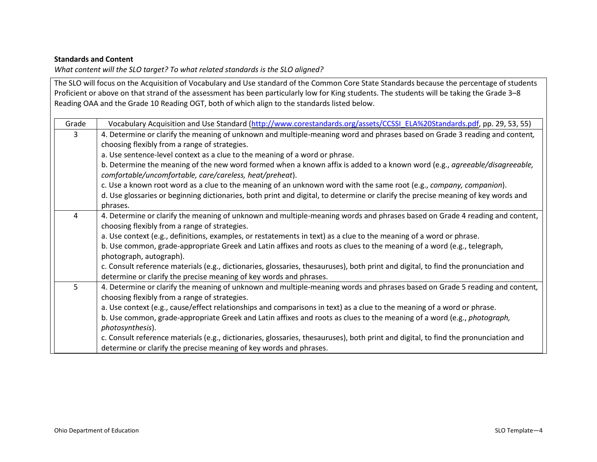## **Standards and Content**

*What content will the SLO target? To what related standards is the SLO aligned?* 

The SLO will focus on the Acquisition of Vocabulary and Use standard of the Common Core State Standards because the percentage of students Proficient or above on that strand of the assessment has been particularly low for King students. The students will be taking the Grade 3–8 Reading OAA and the Grade 10 Reading OGT, both of which align to the standards listed below.

| Grade          | Vocabulary Acquisition and Use Standard (http://www.corestandards.org/assets/CCSSI ELA%20Standards.pdf, pp. 29, 53, 55)             |
|----------------|-------------------------------------------------------------------------------------------------------------------------------------|
| 3              | 4. Determine or clarify the meaning of unknown and multiple-meaning word and phrases based on Grade 3 reading and content,          |
|                | choosing flexibly from a range of strategies.                                                                                       |
|                | a. Use sentence-level context as a clue to the meaning of a word or phrase.                                                         |
|                | b. Determine the meaning of the new word formed when a known affix is added to a known word (e.g., agreeable/disagreeable,          |
|                | comfortable/uncomfortable, care/careless, heat/preheat).                                                                            |
|                | c. Use a known root word as a clue to the meaning of an unknown word with the same root (e.g., company, companion).                 |
|                | d. Use glossaries or beginning dictionaries, both print and digital, to determine or clarify the precise meaning of key words and   |
|                | phrases.                                                                                                                            |
| 4              | 4. Determine or clarify the meaning of unknown and multiple-meaning words and phrases based on Grade 4 reading and content,         |
|                | choosing flexibly from a range of strategies.                                                                                       |
|                | a. Use context (e.g., definitions, examples, or restatements in text) as a clue to the meaning of a word or phrase.                 |
|                | b. Use common, grade-appropriate Greek and Latin affixes and roots as clues to the meaning of a word (e.g., telegraph,              |
|                | photograph, autograph).                                                                                                             |
|                | c. Consult reference materials (e.g., dictionaries, glossaries, thesauruses), both print and digital, to find the pronunciation and |
|                | determine or clarify the precise meaning of key words and phrases.                                                                  |
| 5 <sup>5</sup> | 4. Determine or clarify the meaning of unknown and multiple-meaning words and phrases based on Grade 5 reading and content,         |
|                | choosing flexibly from a range of strategies.                                                                                       |
|                | a. Use context (e.g., cause/effect relationships and comparisons in text) as a clue to the meaning of a word or phrase.             |
|                | b. Use common, grade-appropriate Greek and Latin affixes and roots as clues to the meaning of a word (e.g., photograph,             |
|                | photosynthesis).                                                                                                                    |
|                | c. Consult reference materials (e.g., dictionaries, glossaries, thesauruses), both print and digital, to find the pronunciation and |
|                | determine or clarify the precise meaning of key words and phrases.                                                                  |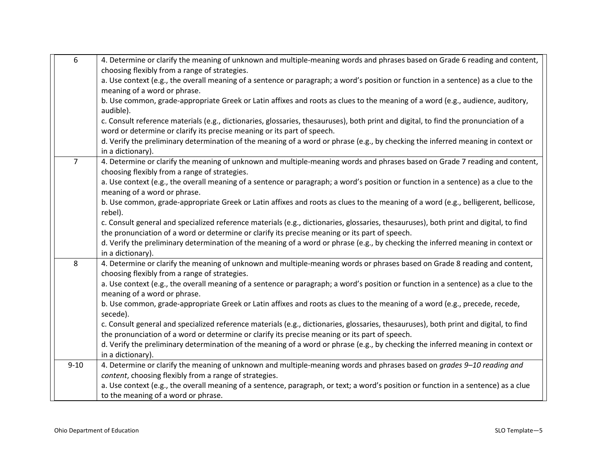| 6              | 4. Determine or clarify the meaning of unknown and multiple-meaning words and phrases based on Grade 6 reading and content,                                                          |
|----------------|--------------------------------------------------------------------------------------------------------------------------------------------------------------------------------------|
|                | choosing flexibly from a range of strategies.                                                                                                                                        |
|                | a. Use context (e.g., the overall meaning of a sentence or paragraph; a word's position or function in a sentence) as a clue to the                                                  |
|                | meaning of a word or phrase.                                                                                                                                                         |
|                | b. Use common, grade-appropriate Greek or Latin affixes and roots as clues to the meaning of a word (e.g., audience, auditory,                                                       |
|                | audible).                                                                                                                                                                            |
|                | c. Consult reference materials (e.g., dictionaries, glossaries, thesauruses), both print and digital, to find the pronunciation of a                                                 |
|                | word or determine or clarify its precise meaning or its part of speech.                                                                                                              |
|                | d. Verify the preliminary determination of the meaning of a word or phrase (e.g., by checking the inferred meaning in context or                                                     |
|                | in a dictionary).                                                                                                                                                                    |
| $\overline{7}$ | 4. Determine or clarify the meaning of unknown and multiple-meaning words and phrases based on Grade 7 reading and content,                                                          |
|                | choosing flexibly from a range of strategies.                                                                                                                                        |
|                | a. Use context (e.g., the overall meaning of a sentence or paragraph; a word's position or function in a sentence) as a clue to the                                                  |
|                | meaning of a word or phrase.                                                                                                                                                         |
|                | b. Use common, grade-appropriate Greek or Latin affixes and roots as clues to the meaning of a word (e.g., belligerent, bellicose,                                                   |
|                | rebel).                                                                                                                                                                              |
|                | c. Consult general and specialized reference materials (e.g., dictionaries, glossaries, thesauruses), both print and digital, to find                                                |
|                | the pronunciation of a word or determine or clarify its precise meaning or its part of speech.                                                                                       |
|                | d. Verify the preliminary determination of the meaning of a word or phrase (e.g., by checking the inferred meaning in context or                                                     |
|                | in a dictionary).                                                                                                                                                                    |
| 8              | 4. Determine or clarify the meaning of unknown and multiple-meaning words or phrases based on Grade 8 reading and content,                                                           |
|                | choosing flexibly from a range of strategies.<br>a. Use context (e.g., the overall meaning of a sentence or paragraph; a word's position or function in a sentence) as a clue to the |
|                | meaning of a word or phrase.                                                                                                                                                         |
|                | b. Use common, grade-appropriate Greek or Latin affixes and roots as clues to the meaning of a word (e.g., precede, recede,                                                          |
|                | secede).                                                                                                                                                                             |
|                | c. Consult general and specialized reference materials (e.g., dictionaries, glossaries, thesauruses), both print and digital, to find                                                |
|                | the pronunciation of a word or determine or clarify its precise meaning or its part of speech.                                                                                       |
|                | d. Verify the preliminary determination of the meaning of a word or phrase (e.g., by checking the inferred meaning in context or                                                     |
|                | in a dictionary).                                                                                                                                                                    |
| $9 - 10$       | 4. Determine or clarify the meaning of unknown and multiple-meaning words and phrases based on grades 9-10 reading and                                                               |
|                | content, choosing flexibly from a range of strategies.                                                                                                                               |
|                | a. Use context (e.g., the overall meaning of a sentence, paragraph, or text; a word's position or function in a sentence) as a clue                                                  |
|                | to the meaning of a word or phrase.                                                                                                                                                  |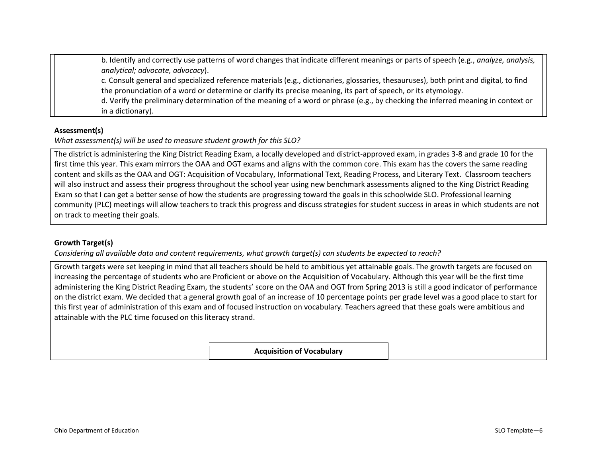| b. Identify and correctly use patterns of word changes that indicate different meanings or parts of speech (e.g., analyze, analysis,  |
|---------------------------------------------------------------------------------------------------------------------------------------|
| analytical; advocate, advocacy).                                                                                                      |
| c. Consult general and specialized reference materials (e.g., dictionaries, glossaries, thesauruses), both print and digital, to find |
| the pronunciation of a word or determine or clarify its precise meaning, its part of speech, or its etymology.                        |
| d. Verify the preliminary determination of the meaning of a word or phrase (e.g., by checking the inferred meaning in context or      |
| in a dictionary).                                                                                                                     |

#### **Assessment(s)**

*What assessment(s) will be used to measure student growth for this SLO?* 

The district is administering the King District Reading Exam, a locally developed and district-approved exam, in grades 3-8 and grade 10 for the first time this year. This exam mirrors the OAA and OGT exams and aligns with the common core. This exam has the covers the same reading content and skills as the OAA and OGT: Acquisition of Vocabulary, Informational Text, Reading Process, and Literary Text. Classroom teachers will also instruct and assess their progress throughout the school year using new benchmark assessments aligned to the King District Reading Exam so that I can get a better sense of how the students are progressing toward the goals in this schoolwide SLO. Professional learning community (PLC) meetings will allow teachers to track this progress and discuss strategies for student success in areas in which students are not on track to meeting their goals.

#### **Growth Target(s)**

*Considering all available data and content requirements, what growth target(s) can students be expected to reach?* 

Growth targets were set keeping in mind that all teachers should be held to ambitious yet attainable goals. The growth targets are focused on increasing the percentage of students who are Proficient or above on the Acquisition of Vocabulary. Although this year will be the first time administering the King District Reading Exam, the students' score on the OAA and OGT from Spring 2013 is still a good indicator of performance on the district exam. We decided that a general growth goal of an increase of 10 percentage points per grade level was a good place to start for this first year of administration of this exam and of focused instruction on vocabulary. Teachers agreed that these goals were ambitious and attainable with the PLC time focused on this literacy strand.

**Acquisition of Vocabulary**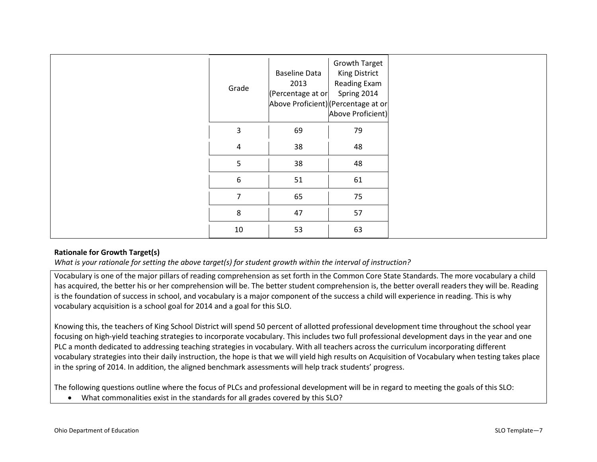| Grade          | <b>Baseline Data</b><br>2013<br>(Percentage at or<br>Above Proficient) (Percentage at or | Growth Target<br>King District<br>Reading Exam<br>Spring 2014<br>Above Proficient) |
|----------------|------------------------------------------------------------------------------------------|------------------------------------------------------------------------------------|
| 3              | 69                                                                                       | 79                                                                                 |
| $\overline{4}$ | 38                                                                                       | 48                                                                                 |
| 5              | 38                                                                                       | 48                                                                                 |
| 6              | 51                                                                                       | 61                                                                                 |
| 7              | 65                                                                                       | 75                                                                                 |
| $\,8\,$        | 47                                                                                       | 57                                                                                 |
| 10             | 53                                                                                       | 63                                                                                 |

# **Rationale for Growth Target(s)**

*What is your rationale for setting the above target(s) for student growth within the interval of instruction?*

Vocabulary is one of the major pillars of reading comprehension as set forth in the Common Core State Standards. The more vocabulary a child has acquired, the better his or her comprehension will be. The better student comprehension is, the better overall readers they will be. Reading is the foundation of success in school, and vocabulary is a major component of the success a child will experience in reading. This is why vocabulary acquisition is a school goal for 2014 and a goal for this SLO.

Knowing this, the teachers of King School District will spend 50 percent of allotted professional development time throughout the school year focusing on high-yield teaching strategies to incorporate vocabulary. This includes two full professional development days in the year and one PLC a month dedicated to addressing teaching strategies in vocabulary. With all teachers across the curriculum incorporating different vocabulary strategies into their daily instruction, the hope is that we will yield high results on Acquisition of Vocabulary when testing takes place in the spring of 2014. In addition, the aligned benchmark assessments will help track students' progress.

The following questions outline where the focus of PLCs and professional development will be in regard to meeting the goals of this SLO:

• What commonalities exist in the standards for all grades covered by this SLO?